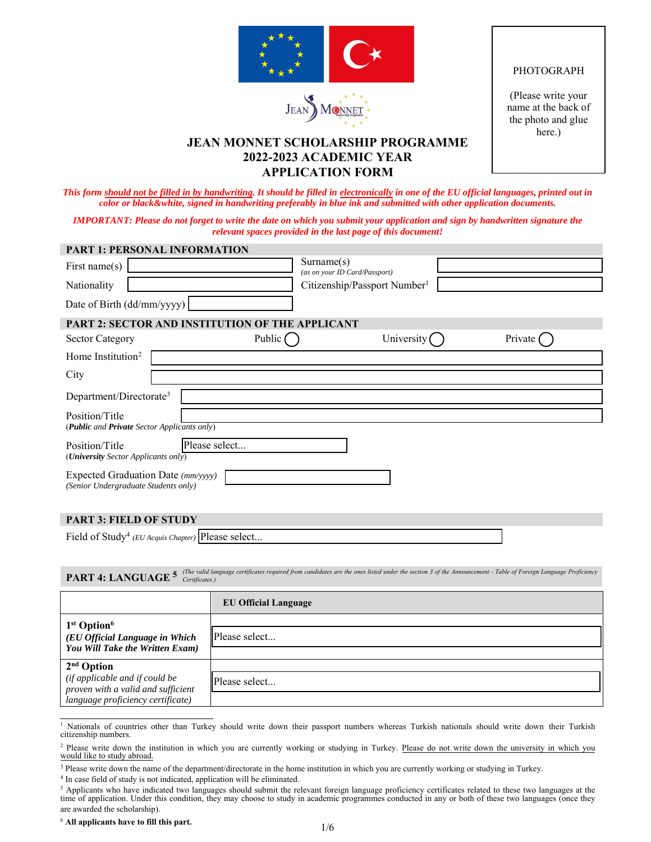



## PHOTOGRAPH

(Please write your name at the back of the photo and glue here.)

# **JEAN MONNET SCHOLARSHIP PROGRAMME 2022-2023 ACADEMIC YEAR APPLICATION FORM**

*This form should not be filled in by handwriting. It should be filled in electronically in one of the EU official languages, printed out in color or black&white, signed in handwriting preferably in blue ink and submitted with other application documents.* 

*IMPORTANT: Please do not forget to write the date on which you submit your application and sign by handwritten signature the relevant spaces provided in the last page of this document!* 

| <b>PART 1: PERSONAL INFORMATION</b>                                        |            |                                          |           |
|----------------------------------------------------------------------------|------------|------------------------------------------|-----------|
| First name $(s)$                                                           | Surname(s) | (as on your ID Card/Passport)            |           |
| Nationality                                                                |            | Citizenship/Passport Number <sup>1</sup> |           |
| Date of Birth (dd/mm/yyyy)                                                 |            |                                          |           |
| <b>PART 2: SECTOR AND INSTITUTION OF THE APPLICANT</b>                     |            |                                          |           |
| <b>Sector Category</b>                                                     | Public (   | University (                             | Private ( |
| Home Institution <sup>2</sup>                                              |            |                                          |           |
| City                                                                       |            |                                          |           |
| Department/Directorate <sup>3</sup>                                        |            |                                          |           |
| Position/Title<br>(Public and Private Sector Applicants only)              |            |                                          |           |
| Please select<br>Position/Title<br>(University Sector Applicants only)     |            |                                          |           |
| Expected Graduation Date (mm/yyyy)<br>(Senior Undergraduate Students only) |            |                                          |           |
|                                                                            |            |                                          |           |

## **PART 3: FIELD OF STUDY**

| Position/Title<br>(University Sector Applicants only)                                                                                                                                                            | Please select               |  |  |
|------------------------------------------------------------------------------------------------------------------------------------------------------------------------------------------------------------------|-----------------------------|--|--|
| Expected Graduation Date (mm/yyyy)<br>(Senior Undergraduate Students only)                                                                                                                                       |                             |  |  |
| <b>PART 3: FIELD OF STUDY</b>                                                                                                                                                                                    |                             |  |  |
| Field of Study <sup>4</sup> (EU Acquis Chapter) Please select                                                                                                                                                    |                             |  |  |
|                                                                                                                                                                                                                  |                             |  |  |
| (The valid language certificates required from candidates are the ones listed under the section 3 of the Announcement - Table of Foreign Language Proficiency<br>PART 4: LANGUAGE <sup>5</sup><br>Certificates.) |                             |  |  |
|                                                                                                                                                                                                                  |                             |  |  |
|                                                                                                                                                                                                                  | <b>EU Official Language</b> |  |  |
|                                                                                                                                                                                                                  |                             |  |  |
| 1 <sup>st</sup> Option <sup>6</sup><br>(EU Official Language in Which                                                                                                                                            | Please select               |  |  |
| You Will Take the Written Exam)                                                                                                                                                                                  |                             |  |  |
| $2nd$ Option                                                                                                                                                                                                     |                             |  |  |
| (if applicable and if could be<br>proven with a valid and sufficient                                                                                                                                             | Please select               |  |  |

<sup>1</sup> Nationals of countries other than Turkey should write down their passport numbers whereas Turkish nationals should write down their Turkish citizenship numbers.

<sup>6</sup> **All applicants have to fill this part.**

<sup>&</sup>lt;sup>2</sup> Please write down the institution in which you are currently working or studying in Turkey. Please do not write down the university in which you would like to study abroad.

<sup>&</sup>lt;sup>3</sup> Please write down the name of the department/directorate in the home institution in which you are currently working or studying in Turkey.

<sup>&</sup>lt;sup>4</sup> In case field of study is not indicated, application will be eliminated.

<sup>&</sup>lt;sup>5</sup> Applicants who have indicated two languages should submit the relevant foreign language proficiency certificates related to these two languages at the time of application. Under this condition, they may choose to study in academic programmes conducted in any or both of these two languages (once they are awarded the scholarship).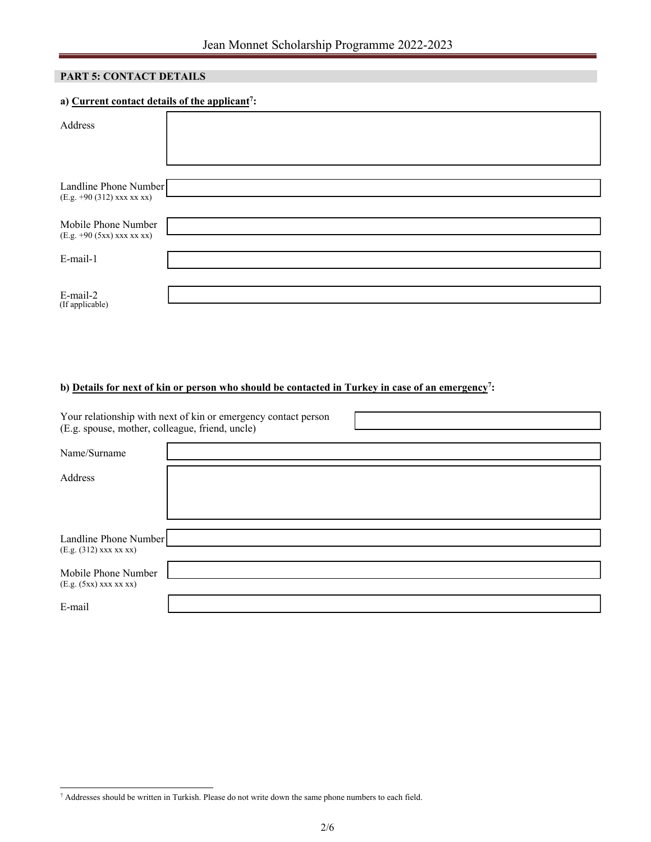## **PART 5: CONTACT DETAILS**

## **a) Current contact details of the applicant<sup>7</sup> :**

| Address                                             |  |
|-----------------------------------------------------|--|
|                                                     |  |
|                                                     |  |
| Landline Phone Number<br>(E.g. +90 (312) xxx xx xx) |  |
|                                                     |  |
| Mobile Phone Number                                 |  |
| (E.g. +90 (5xx) xxx xx xx)                          |  |
|                                                     |  |
| E-mail-1                                            |  |
|                                                     |  |
|                                                     |  |
| E-mail-2<br>(If applicable)                         |  |

## **b) Details for next of kin or person who should be contacted in Turkey in case of an emergency<sup>7</sup> :**

| (E.g. spouse, mother, colleague, friend, uncle)   | Your relationship with next of kin or emergency contact person |  |
|---------------------------------------------------|----------------------------------------------------------------|--|
| Name/Surname                                      |                                                                |  |
| Address                                           |                                                                |  |
|                                                   |                                                                |  |
|                                                   |                                                                |  |
| Landline Phone Number<br>$(E.g. (312)$ xxx xx xx) |                                                                |  |
| Mobile Phone Number                               |                                                                |  |
| $(E.g. (5xx)$ xxx xx xx)                          |                                                                |  |
| E-mail                                            |                                                                |  |

<sup>7</sup> Addresses should be written in Turkish. Please do not write down the same phone numbers to each field.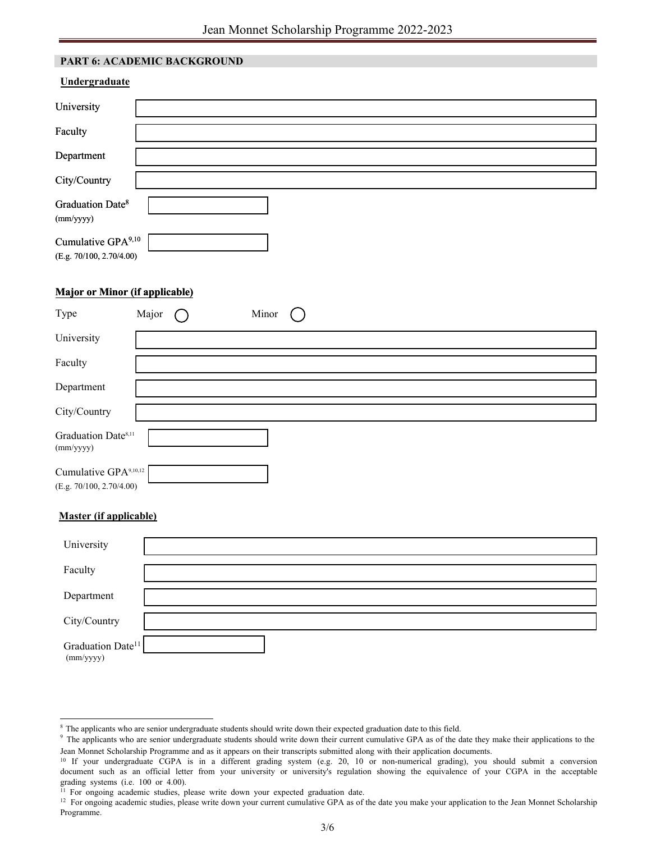## **PART 6: ACADEMIC BACKGROUND**

| Undergraduate                                              |  |
|------------------------------------------------------------|--|
| University                                                 |  |
| Faculty                                                    |  |
| Department                                                 |  |
| City/Country                                               |  |
| Graduation Date <sup>8</sup><br>(mm/yyyy)                  |  |
| Cumulative GPA <sup>9,10</sup><br>(E.g. 70/100, 2.70/4.00) |  |

## **Major or Minor (if applicable)**

| Type                                                          | Major | Minor |  |
|---------------------------------------------------------------|-------|-------|--|
| University                                                    |       |       |  |
| Faculty                                                       |       |       |  |
| Department                                                    |       |       |  |
| City/Country                                                  |       |       |  |
| Graduation Date <sup>8,11</sup><br>(mm/yyyy)                  |       |       |  |
| Cumulative GPA <sup>9,10,12</sup><br>(E.g. 70/100, 2.70/4.00) |       |       |  |

### **Master (if applicable)**

| University                                 |  |
|--------------------------------------------|--|
| Faculty                                    |  |
| Department                                 |  |
| City/Country                               |  |
| Graduation Date <sup>11</sup><br>(mm/yyyy) |  |

<sup>&</sup>lt;sup>8</sup> The applicants who are senior undergraduate students should write down their expected graduation date to this field.

<sup>&</sup>lt;sup>9</sup> The applicants who are senior undergraduate students should write down their current cumulative GPA as of the date they make their applications to the Jean Monnet Scholarship Programme and as it appears on their transcripts submitted along with their application documents.

<sup>&</sup>lt;sup>10</sup> If your undergraduate CGPA is in a different grading system (e.g. 20, 10 or non-numerical grading), you should submit a conversion document such as an official letter from your university or university's regulation showing the equivalence of your CGPA in the acceptable grading systems (i.e. 100 or 4.00).

<sup>&</sup>lt;sup>11</sup> For ongoing academic studies, please write down your expected graduation date.

<sup>&</sup>lt;sup>12</sup> For ongoing academic studies, please write down your current cumulative GPA as of the date you make your application to the Jean Monnet Scholarship Programme.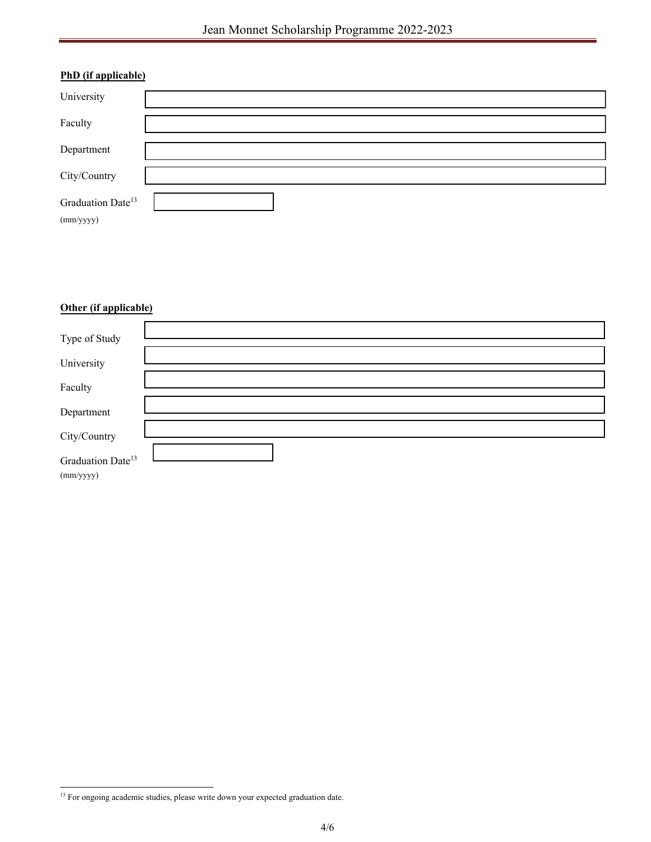| PhD (if applicable)                        |  |
|--------------------------------------------|--|
| University                                 |  |
| Faculty                                    |  |
| Department                                 |  |
| City/Country                               |  |
| Graduation Date <sup>13</sup><br>(mm/yyyy) |  |

# **Other (if applicable)**

| Type of Study                              |  |
|--------------------------------------------|--|
| University                                 |  |
| Faculty                                    |  |
| Department                                 |  |
| City/Country                               |  |
| Graduation Date <sup>13</sup><br>(mm/yyyy) |  |

 $^{13}$  For ongoing academic studies, please write down your expected graduation date.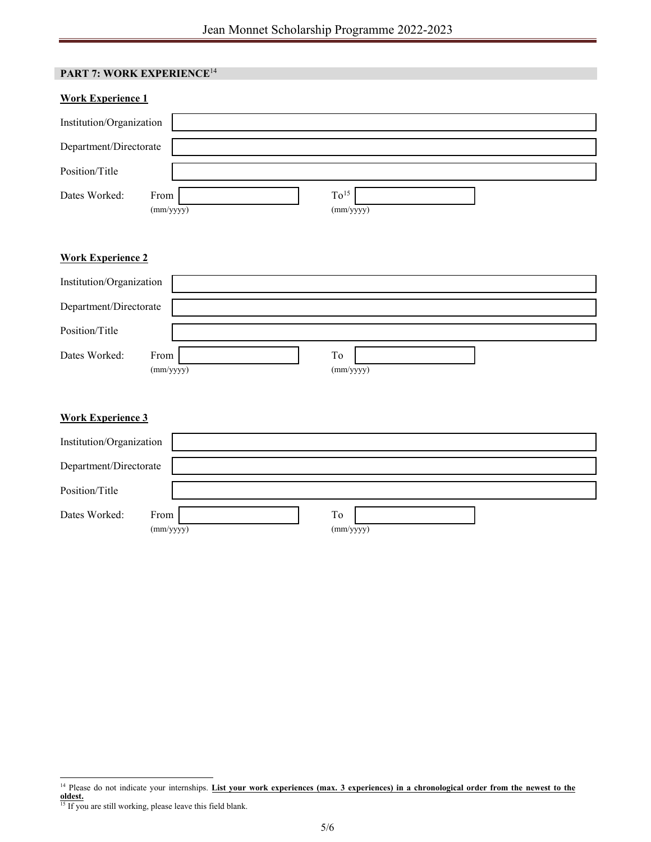| PART 7: WORK EXPERIENCE <sup>14</sup> |                               |  |
|---------------------------------------|-------------------------------|--|
| <b>Work Experience 1</b>              |                               |  |
| Institution/Organization              |                               |  |
| Department/Directorate                |                               |  |
| Position/Title                        |                               |  |
| Dates Worked:<br>From<br>(mm/yyyy)    | To <sup>15</sup><br>(mm/yyyy) |  |
| <b>Work Experience 2</b>              |                               |  |
| Institution/Organization              |                               |  |
| Department/Directorate                |                               |  |
| Position/Title                        |                               |  |
| Dates Worked:<br>From<br>(mm/yyyy)    | To<br>(mm/yyyy)               |  |
| <b>Work Experience 3</b>              |                               |  |
| Institution/Organization              |                               |  |
| Department/Directorate                |                               |  |
| Position/Title                        |                               |  |
| Dates Worked:<br>From<br>(mm/yyyy)    | To<br>(mm/yyyy)               |  |

<sup>&</sup>lt;sup>14</sup> Please do not indicate your internships. List your work experiences (max. 3 experiences) in a chronological order from the newest to the **oldest.**

<sup>&</sup>lt;sup>15</sup> If you are still working, please leave this field blank.